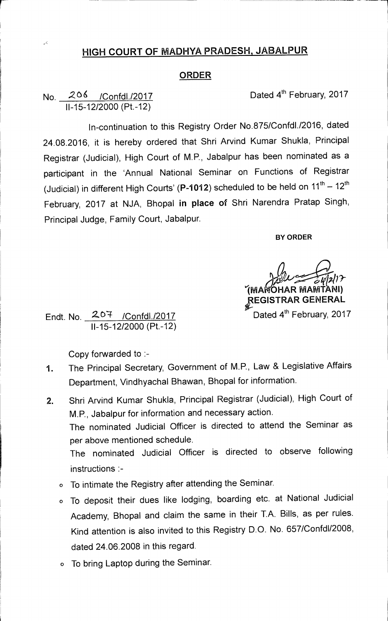## **HIGH COURT OF MADHYA PRADESH, JABALPUR**

## **ORDER**

## No. 206 /Confdl./2017 Dated 4<sup>th</sup> February, 2017 11-15-12/2000 (Pt.-12)

 $\downarrow$   $\zeta$ 

1n-continuation to this Registry Order No.875/Confdl./2016, dated 24.08.2016, it is hereby ordered that Shri Arvind Kumar Shukla, Principal Registrar (Judicial), High Court of M.P., Jabalpur has been nominated as a participant in the 'Annual National Seminar on Functions of Registrar (Judicial) in different High Courts' (P-1012) scheduled to be held on  $11^{th} - 12^{th}$ February, 2017 at NJA, Bhopal **in place of** Shri Narendra Pratap Singh, Principal Judge, Family Court, Jabalpur.

**BY ORDER** 

*010/7-*  **1MA OHAR IViAMTANI)** 

**p.EGISTRAR GENERAL**  Dated 4<sup>th</sup> February, 2017

Endt. No. 207 /Confdl./2017 11-15-12/2000 (Pt.-12)

Copy forwarded to :-

- 1. The Principal Secretary, Government of M.P., Law & Legislative Affairs Department, Vindhyachal Bhawan, Bhopal for information.
- 2. Shri Arvind Kumar Shukla, Principal Registrar (Judicial), High Court of M.P., Jabalpur for information and necessary action. The nominated Judicial Officer is directed to attend the Seminar as per above mentioned schedule. The nominated Judicial Officer is directed to observe following instructions :
	- o To intimate the Registry after attending the Seminar.
	- o To deposit their dues like lodging, boarding etc. at National Judicial Academy, Bhopal and claim the same in their T.A. Bills, as per rules. Kind attention is also invited to this Registry D.O. No. 657/Confd1/2008, dated 24.06.2008 in this regard.
	- o To bring Laptop during the Seminar.